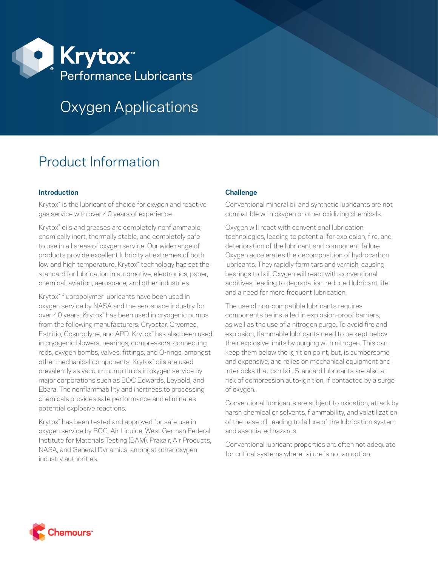

# Oxygen Applications

## Product Information

### **Introduction**

Krytox<sup>™</sup> is the lubricant of choice for oxygen and reactive gas service with over 40 years of experience.

Krytox<sup>™</sup> oils and greases are completely nonflammable, chemically inert, thermally stable, and completely safe to use in all areas of oxygen service. Our wide range of products provide excellent lubricity at extremes of both low and high temperature. Krytox™ technology has set the standard for lubrication in automotive, electronics, paper, chemical, aviation, aerospace, and other industries.

Krytox™ fluoropolymer lubricants have been used in oxygen service by NASA and the aerospace industry for over 40 years. Krytox™ has been used in cryogenic pumps from the following manufacturers: Cryostar, Cryomec, Estritio, Cosmodyne, and APD. Krytox™ has also been used in cryogenic blowers, bearings, compressors, connecting rods, oxygen bombs, valves, fittings, and O-rings, amongst other mechanical components. Krytox™ oils are used prevalently as vacuum pump fluids in oxygen service by major corporations such as BOC Edwards, Leybold, and Ebara. The nonflammability and inertness to processing chemicals provides safe performance and eliminates potential explosive reactions.

Krytox™ has been tested and approved for safe use in oxygen service by BOC, Air Liquide, West German Federal Institute for Materials Testing (BAM), Praxair, Air Products, NASA, and General Dynamics, amongst other oxygen industry authorities.

## **Challenge**

Conventional mineral oil and synthetic lubricants are not compatible with oxygen or other oxidizing chemicals.

Oxygen will react with conventional lubrication technologies, leading to potential for explosion, fire, and deterioration of the lubricant and component failure. Oxygen accelerates the decomposition of hydrocarbon lubricants. They rapidly form tars and varnish, causing bearings to fail. Oxygen will react with conventional additives, leading to degradation, reduced lubricant life, and a need for more frequent lubrication.

The use of non-compatible lubricants requires components be installed in explosion-proof barriers, as well as the use of a nitrogen purge. To avoid fire and explosion, flammable lubricants need to be kept below their explosive limits by purging with nitrogen. This can keep them below the ignition point; but, is cumbersome and expensive, and relies on mechanical equipment and interlocks that can fail. Standard lubricants are also at risk of compression auto-ignition, if contacted by a surge of oxygen.

Conventional lubricants are subject to oxidation, attack by harsh chemical or solvents, flammability, and volatilization of the base oil, leading to failure of the lubrication system and associated hazards.

Conventional lubricant properties are often not adequate for critical systems where failure is not an option.